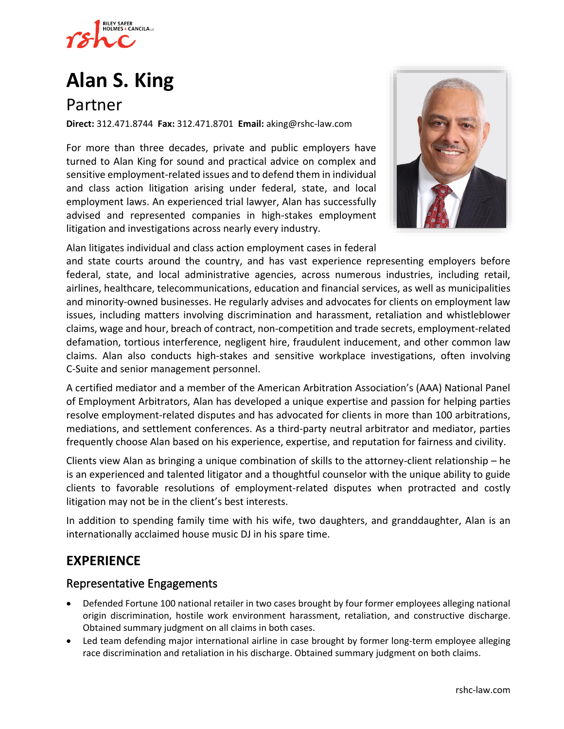

# **[Alan S. King](https://www.rshc-law.com/attorneys/attorney/alan-s.-king)**

# Partner

**Direct:** 312.471.8744 **Fax:** 312.471.8701 **Email:** aking@rshc-law.com

For more than three decades, private and public employers have turned to Alan King for sound and practical advice on complex and sensitive employment-related issues and to defend them in individual and class action litigation arising under federal, state, and local employment laws. An experienced trial lawyer, Alan has successfully advised and represented companies in high-stakes employment litigation and investigations across nearly every industry.



Alan litigates individual and class action employment cases in federal

and state courts around the country, and has vast experience representing employers before federal, state, and local administrative agencies, across numerous industries, including retail, airlines, healthcare, telecommunications, education and financial services, as well as municipalities and minority-owned businesses. He regularly advises and advocates for clients on employment law issues, including matters involving discrimination and harassment, retaliation and whistleblower claims, wage and hour, breach of contract, non-competition and trade secrets, employment-related defamation, tortious interference, negligent hire, fraudulent inducement, and other common law claims. Alan also conducts high-stakes and sensitive workplace investigations, often involving C-Suite and senior management personnel.

A certified mediator and a member of the American Arbitration Association's (AAA) National Panel of Employment Arbitrators, Alan has developed a unique expertise and passion for helping parties resolve employment-related disputes and has advocated for clients in more than 100 arbitrations, mediations, and settlement conferences. As a third-party neutral arbitrator and mediator, parties frequently choose Alan based on his experience, expertise, and reputation for fairness and civility.

Clients view Alan as bringing a unique combination of skills to the attorney-client relationship – he is an experienced and talented litigator and a thoughtful counselor with the unique ability to guide clients to favorable resolutions of employment-related disputes when protracted and costly litigation may not be in the client's best interests.

In addition to spending family time with his wife, two daughters, and granddaughter, Alan is an internationally acclaimed house music DJ in his spare time.

## **EXPERIENCE**

#### Representative Engagements

- Defended Fortune 100 national retailer in two cases brought by four former employees alleging national origin discrimination, hostile work environment harassment, retaliation, and constructive discharge. Obtained summary judgment on all claims in both cases.
- Led team defending major international airline in case brought by former long-term employee alleging race discrimination and retaliation in his discharge. Obtained summary judgment on both claims.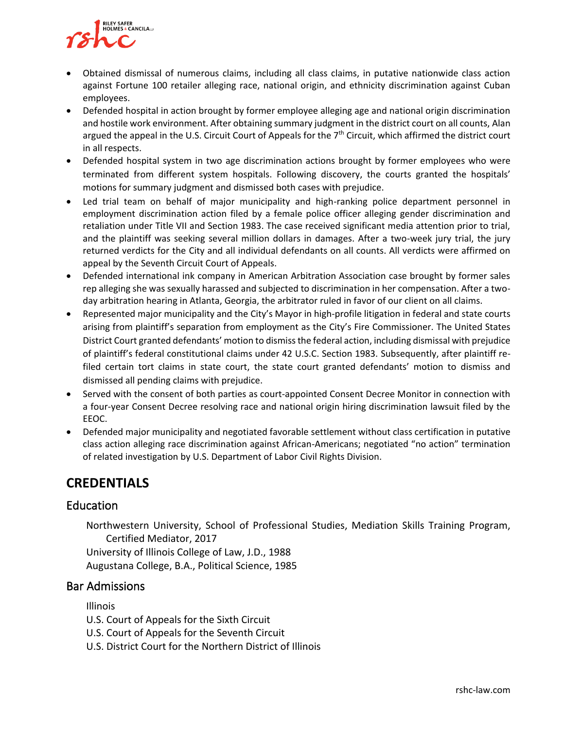

- Obtained dismissal of numerous claims, including all class claims, in putative nationwide class action against Fortune 100 retailer alleging race, national origin, and ethnicity discrimination against Cuban employees.
- Defended hospital in action brought by former employee alleging age and national origin discrimination and hostile work environment. After obtaining summary judgment in the district court on all counts, Alan argued the appeal in the U.S. Circuit Court of Appeals for the  $7<sup>th</sup>$  Circuit, which affirmed the district court in all respects.
- Defended hospital system in two age discrimination actions brought by former employees who were terminated from different system hospitals. Following discovery, the courts granted the hospitals' motions for summary judgment and dismissed both cases with prejudice.
- Led trial team on behalf of major municipality and high-ranking police department personnel in employment discrimination action filed by a female police officer alleging gender discrimination and retaliation under Title VII and Section 1983. The case received significant media attention prior to trial, and the plaintiff was seeking several million dollars in damages. After a two-week jury trial, the jury returned verdicts for the City and all individual defendants on all counts. All verdicts were affirmed on appeal by the Seventh Circuit Court of Appeals.
- Defended international ink company in American Arbitration Association case brought by former sales rep alleging she was sexually harassed and subjected to discrimination in her compensation. After a twoday arbitration hearing in Atlanta, Georgia, the arbitrator ruled in favor of our client on all claims.
- Represented major municipality and the City's Mayor in high-profile litigation in federal and state courts arising from plaintiff's separation from employment as the City's Fire Commissioner. The United States District Court granted defendants' motion to dismiss the federal action, including dismissal with prejudice of plaintiff's federal constitutional claims under 42 U.S.C. Section 1983. Subsequently, after plaintiff refiled certain tort claims in state court, the state court granted defendants' motion to dismiss and dismissed all pending claims with prejudice.
- Served with the consent of both parties as court-appointed Consent Decree Monitor in connection with a four-year Consent Decree resolving race and national origin hiring discrimination lawsuit filed by the EEOC.
- Defended major municipality and negotiated favorable settlement without class certification in putative class action alleging race discrimination against African-Americans; negotiated "no action" termination of related investigation by U.S. Department of Labor Civil Rights Division.

## **CREDENTIALS**

#### Education

Northwestern University, School of Professional Studies, Mediation Skills Training Program, Certified Mediator, 2017

University of Illinois College of Law, J.D., 1988 Augustana College, B.A., Political Science, 1985

#### Bar Admissions

Illinois

U.S. Court of Appeals for the Sixth Circuit

- U.S. Court of Appeals for the Seventh Circuit
- U.S. District Court for the Northern District of Illinois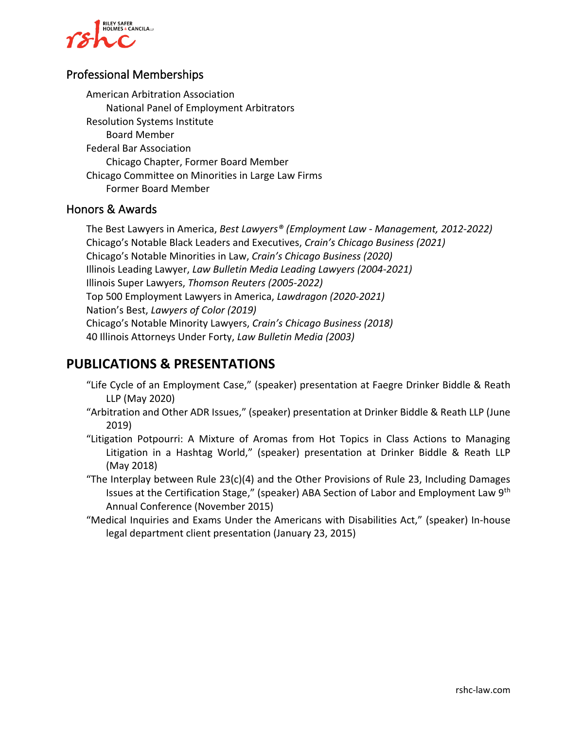

#### Professional Memberships

American Arbitration Association National Panel of Employment Arbitrators Resolution Systems Institute Board Member Federal Bar Association Chicago Chapter, Former Board Member Chicago Committee on Minorities in Large Law Firms Former Board Member

#### Honors & Awards

The Best Lawyers in America, *Best Lawyers® (Employment Law - Management, 2012-2022)* Chicago's Notable Black Leaders and Executives, *Crain's Chicago Business (2021)* Chicago's Notable Minorities in Law, *Crain's Chicago Business (2020)* Illinois Leading Lawyer, *Law Bulletin Media Leading Lawyers (2004-2021)* Illinois Super Lawyers, *Thomson Reuters (2005-2022)* Top 500 Employment Lawyers in America, *Lawdragon (2020-2021)* Nation's Best, *Lawyers of Color (2019)* Chicago's Notable Minority Lawyers, *Crain's Chicago Business (2018)* 40 Illinois Attorneys Under Forty, *Law Bulletin Media (2003)*

## **PUBLICATIONS & PRESENTATIONS**

- "Life Cycle of an Employment Case," (speaker) presentation at Faegre Drinker Biddle & Reath LLP (May 2020)
- "Arbitration and Other ADR Issues," (speaker) presentation at Drinker Biddle & Reath LLP (June 2019)
- "Litigation Potpourri: A Mixture of Aromas from Hot Topics in Class Actions to Managing Litigation in a Hashtag World," (speaker) presentation at Drinker Biddle & Reath LLP (May 2018)
- "The Interplay between Rule 23(c)(4) and the Other Provisions of Rule 23, Including Damages Issues at the Certification Stage," (speaker) ABA Section of Labor and Employment Law 9th Annual Conference (November 2015)
- "Medical Inquiries and Exams Under the Americans with Disabilities Act," (speaker) In-house legal department client presentation (January 23, 2015)